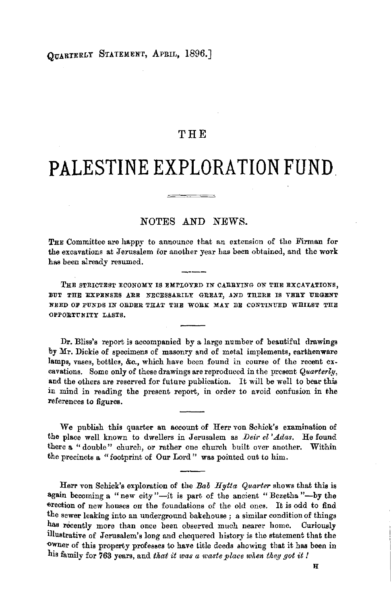## THE

# **PALESTINE EXPLORATION FUND.**

 $\begin{tabular}{ccccc} \multicolumn{2}{c|}{\textbf{1} & \textbf{2} & \textbf{3} & \textbf{4} & \textbf{5} & \textbf{5} & \textbf{6} & \textbf{6} & \textbf{7} & \textbf{8} & \textbf{8} & \textbf{9} & \textbf{10} & \textbf{10} & \textbf{10} & \textbf{10} & \textbf{10} & \textbf{10} & \textbf{10} & \textbf{10} & \textbf{10} & \textbf{10} & \textbf{10} & \textbf{10} & \textbf{10} & \textbf{10} & \textbf{1$ 

## NOTES AND NEWS:.

THE Committee are happy to announce that an extension of the Firman for the excavations at Jerusalem for another year has been obtained, and the work has been already resumed.

THE STRICTEST ECONOMY IS EMPLOYED IN CARRYING ON THE EXCAVATIONS, BUT THE EXPENSES ARE NECESSARILY GREAT, AND THERE IS VERY URGENT NEED OF FUNDS IN ORDER THAT THE WORK MAY BE CONTINUED WHILST THE OPPORTUNITY LASTS,

Dr. Bliss's report is accompanied by a large number of beautiful drawings by Mr. Dickie of specimens of masonry and of metal implements, earthenware lamps, vases, bottles, &c., which have been found in course of the recent excavations. Some only of these drawings are reproduced in the present *Quarterly,*  and the others are reserved for future publication. It will be well to bear this in mind in reading the present report, in order to avoid confusion in the references to figures.

We publish this quarter an account of Herr von Schick's examination of the place well known to dwellers in Jerusalem as *Deir el 'Adas*. He found there **a** " double" church, or rather one church built over another. Within the precincts **a** "footprint of Our Lord" was pointed ont to him.

Herr von Schick's exploration of the *Bab Hytta Quarter* shows that this is **again** becoming **a** "new city "-it is part of the ancient "Bezetha "-by the erection of new houses on the foundations of the old ones. It is odd to find the sewer leaking into an underground bakehouse ; a similar condition of things has recently more than once been observed much nearer home. Curiously illustrative of Jerusalem's long and chequered history is the statement that the owner of this property professes to have title deeds showing that it has been in his family for 763 years, and *that it was a waste place when they got* it *!* 

**H**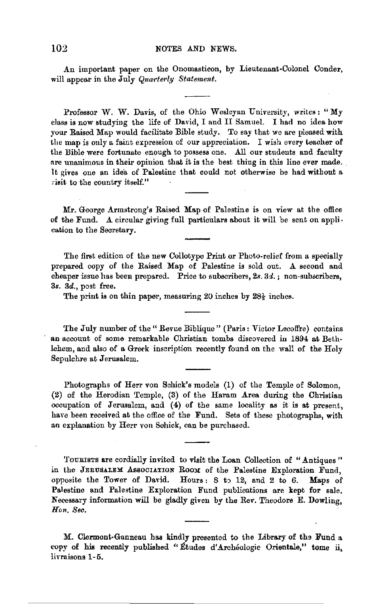An important paper on the Onomasticon, by Lieutenant-Colonel Conder, will appear in the July *Quarterly Statement*.

Professor W. W. Davis, of the Ohio Wesleyan University, writes : " My class is now studying the life of David, I and II Samuel. I had no idea how your Raised Map would facilitate Bible study. To say that we are pleased with the map is only a faint expression of our appreciation. I wish every teacher of the Bible were fortunate enough to possess one. All our students and faculty nre unanimous in their opinion that it is the best thing in this line ever made. It gives one an idea of Palestine that could not otherwise be had without a .isit to the country itself."

Mr. George Armstrong's Raised Map of Palestine is on view at the office of the Fund. A circular giving full particulars about it will be sent on application to the Secretary.

The first edition of the new Collotype Print or Photo-relief from a specially prepared copy of the Raised Map of Palestine is sold out. A second and cheaper issue has been prepared. Price to subscribers,  $2s. 3d.$ ; non-subscribers, 3s. 3d., post free.

The print is on thin paper, measuring 20 inches by 28½ inches.

The July number of the" Revue Biblique" (Paris: Victor Lecoffre) contains **au** account of some remarkable Christian tombs discovered in 1894 **at** Bethlehem, and also of **a** Greek inscription recently found on the wall of the Holy Sepulchre at Jerusalem.

Photographs of Herr von Schick's models (1) of the Temple of Solomon, (2) of the Herodian Temple, (3) of the Haram Area during the Christian occupation of Jerusalem, and (4) of the same locality as it is at present, have been received at the office of the Fund. Sets of these photographs, with an explanation by Herr von Schick, can be purchased.

'l'oURIBTS **are** cordially invited to visit the Loan Collection of "Antiques" in the JERUSALEM ASSOCIATION ROOM of the Palestine Exploration Fund, opposite the Tower of David. Hours: 8 to 12, and 2 to 6. Maps of Palestine and Palestine Exploration Fund publications are kept for sale. Necessary information will be gladly given by the Rev. Theodore E. Dowling, *Hon. Sec.* 

M. Clermont-Ganneau has kindly presented to the Library of the Fund a copy of his recently published "Etudes d'Archéologie Orientale," tome ii, livraisons 1-5.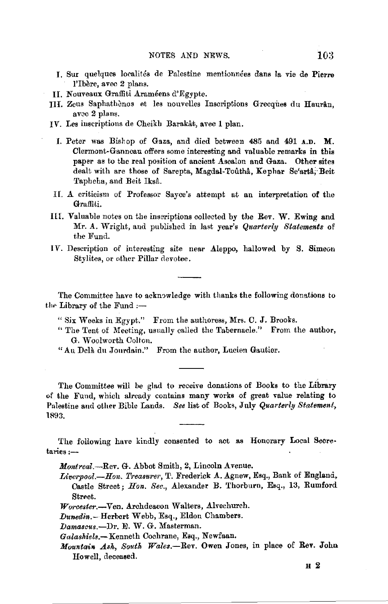- I. Sur quelques localites de Palestine mentionnees dans la vie de **Pierre**  l'Ibère, avec 2 plans.
- II. Nouveaux Graffiti Arameens d'Rgypte.
- III. Zeus Saphathènos et les nouvelles Inscriptions Grecques du Haurân. avec 2 plans.
- **IV.** Les inscriptions de Cheikb Barakat, avec **1** plan.
	- I. Peter was Bish op of Gaza, and died between 485 and 491 **A.D. M.**  Clermont-Ganncau offers some interesting and valuable remarks in this paper as to the real position of ancient Ascalon and Gaza. Other sites dealt with are those of Sarepta, Magdal-Toutha, Kephar Se'arta, Beit Taphcha, and Beit Iksa.
- II. A criticism of Professor Sayce's attempt at an interpretation of the Graffiti.
- IIL Valuable notes on the inscriptions collected by the Rev. W. Ewing and Mr. A. Wright., and published in last year's *Qiiarterly Statements* of the Fund.
- IV. Description of interesting site near Aleppo, hallowed by S. Simeon Stylites, or other Pillar devotee.

The Committee have to acknowledge with thanks the following donations to the Library of the Fund  $:$ --

- " Six Weeks in Egypt." From the authoress, Mrs. C. J. Brooks.
- " The Tent of Meeting, usually cailed the Tabernacle." From the author, G. Woolworth Colton.
- "Au Dela. du Jourdain." From the author, Lucien Gautier.

The Committee will be glad to receive donations of Books to the Library of the Fund, which already contains many works of great value relating to Palestine and other Bible Lands. See list of Books, July *Quarterly Statement*, 1893.

The following have kindly consented to act as Honorary Local Secretaries:-

*Montreal.*--Rev. G. Abbot Smith, 2, Lincoln Avenue.

- *Liverpool.*--Hon. Treasurer, T. Frederick A. Agnew, Esq., Bank of England, Castle Street; *Hon. Sec.,* Alexander B. Thorburn, Esq., 13, Rumford Street.
- *Worcester.-Ven.* Archdeacon Walters, Alvechurch.
- *Dunedin.-* Herbert Webb, Esq., Eldon Chambers.
- *Damascus.-Dr.* E.W. G. Masterman.
- *Galaskiels.-Kenneth* Cochrane, Esq., Newfaan.
- *Mountain Ash, South Wales.*-Rev. Owen Jones, in place of Rev. John Howell, deceased.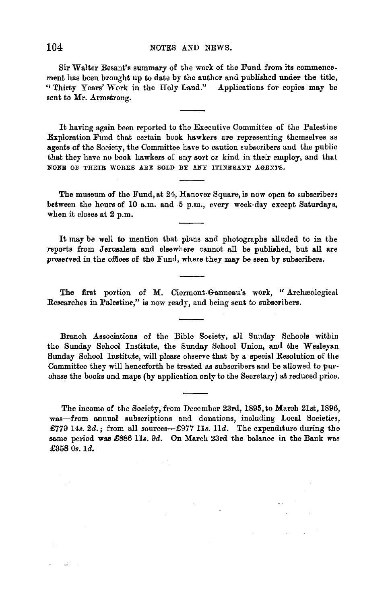Sir Walter Besant's summary of the work of the Fund from its commence. ment has been bronght up to date by the author and published under the title, '' Thirty Yenrs' Work in the Holy Land." Applications for copies may be sent to Mr. Armstrong.

It having again been reported to the Executive Committee of the Palestine Exploration Fund that certain book hawkers are representing themselves as agents of the Society, the Committee have to caution subscribers and the public that they have no book hawkers of any sort or kind in their employ, and that NONE OF THEIR WORKS ARE SOLD BY ANY ITINERANT AGENTS.

**The** museum of the Fund, at 24, Hanover Square, is now open to subscribers between the hours of 10 a.m. and 6 p.m., every week-day except Saturdays, when it closes at 2 p.m.

It may be well to mention that plans and photographs alluded to in the reports from Jerusalem and elsewhere cannot all be published, but **all** are preserved in the offices of the Fund, where they may be seen by subscribers.

The first portion of M. Clermont-Ganneau's work, "Archaeological Researches in Palestine," is now ready, and being sent to subscribers.

Branch Associations of the Bible Society, all Sunday Schools within the Sunday School Institute, the Sunday School Union, and the Wesleyan Sunday School Institute, will please observe that by a special Resolution of the Committee they will henceforth be treated as subscribers and be allowed to purchase the books and maps (by application only to the Secretary) at reduced price,

The income of the Society, from December 23rd, 1895, to March 21st, 1896, was-from annual subscriptions and donations, including Local Societies, £779 14s. 2d.; from all sources- $£977$  11s. 11d. The expenditure during the same period was £886 11s. 9d. On March 23rd the balance in the Bank was £358 Os. 1d.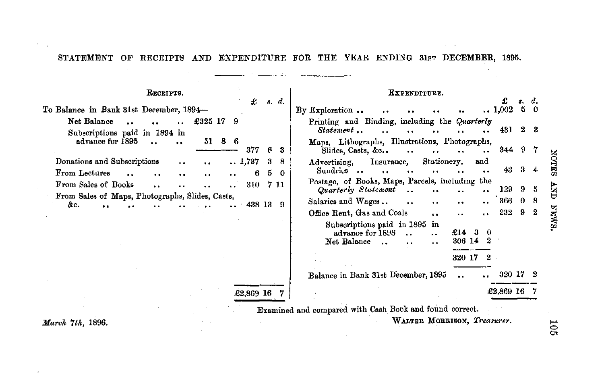STATEMENT OF RECEIPTS AND EXPENDITURE FOR THE YEAR ENDING 31sT DECEMBER, 1895.

**Carl Corporation** 

 $\mathcal{L}_{\mathcal{A}}$  and  $\mathcal{A}$  is the set of the set of the set of  $\mathcal{A}$ 

| RECEIPTS.                                                                                                        | £                                           | s. d.                 | KXPENDITURE.<br>s. d.                                                                                                                                            |
|------------------------------------------------------------------------------------------------------------------|---------------------------------------------|-----------------------|------------------------------------------------------------------------------------------------------------------------------------------------------------------|
| To Balance in Bank 31st December, 1894-                                                                          |                                             |                       | 5.<br>$\ldots 1,002$<br>$\Omega$<br>By Exploration<br>$\ddot{\phantom{0}}$                                                                                       |
| Net Balance<br>$\ddot{\phantom{a}}$<br>$\mathbf{a}$ , $\mathbf{a}$<br>$\bullet$<br>Subscriptions paid in 1894 in | £325 17<br>9                                |                       | Printing and Binding, including the Quarterly<br>431 2 3<br>Statement                                                                                            |
| advance for 1895<br>$\ddot{\phantom{a}}$                                                                         | $51\quad 8\quad 6$<br>377                   | Е.<br>3               | Maps, Lithographs, Illustrations, Photographs,<br>344 9<br>Slides, Casts, &c<br>7<br>$\bullet$ $\bullet$<br>                                                     |
| Donations and Subscriptions<br>$\bullet\;\bullet$<br>From Lectures<br>$\ddot{\phantom{a}}$                       | $\ldots$ 1,787<br>$\ddot{\phantom{0}}$<br>6 | 3<br>5.<br>$^{\circ}$ | Stationery,<br>Insurance,<br>and<br>Advertising,<br>3<br>43<br>Sundries<br>4<br>$\ddot{\bullet}$<br>$\bullet$                                                    |
| From Sales of Books<br>$\bullet$<br>                                                                             | 310 7 11                                    |                       | Postage, of Books, Maps, Parcels, including the<br>129<br>Quarterly Statement<br>9<br>5                                                                          |
| From Sales of Maps, Photographs, Slides, Casts,<br>&с.                                                           | 438 13 9                                    |                       | 366<br>0 <sub>8</sub><br>Salaries and Wages<br>$\ddot{\phantom{a}}$<br>$\ddot{\phantom{0}}$<br>$\ddot{\phantom{a}}$<br>$\ddot{\phantom{0}}$                      |
|                                                                                                                  |                                             |                       | 232 9 2<br>Office Rent, Gas and Coals<br>$\ddot{\phantom{a}}$                                                                                                    |
|                                                                                                                  |                                             |                       | Subscriptions paid in 1895 in<br>advance for 1895<br>£14<br>З.<br>$_{\odot}$<br>$\ddot{\phantom{a}}$<br>306 14<br>2<br>Net Balance<br>$\sim$<br>. .<br>$\cdot$ . |
|                                                                                                                  |                                             |                       | 320 17 2                                                                                                                                                         |
|                                                                                                                  |                                             |                       | 320 17<br>Balance in Bank 31st December, 1895<br>$\ddot{\phantom{a}}$                                                                                            |
|                                                                                                                  | £2,869 16                                   |                       | £2,869 16                                                                                                                                                        |
|                                                                                                                  |                                             |                       | Examined and compared with Cash Book and found correct.                                                                                                          |

WALTER MORRISON, Treasurer.

and the control of the control of

March 7th, 1896.

 $\sim$  $\sim$   $\alpha$ 

 $105$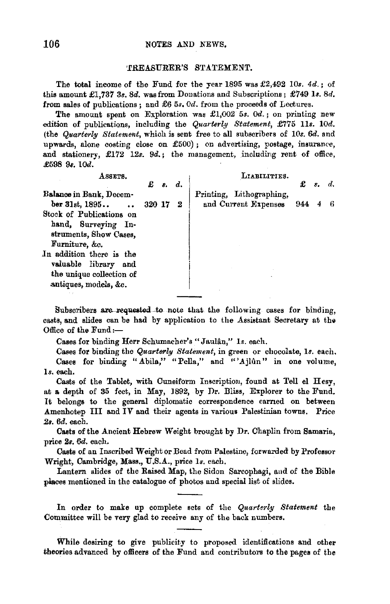### 106 NOTES AND NEWS.

#### •.r.REASURER'S STATEMENT.

The total income of the Fund for the year 1895 was £2,492 *IOs. 4d.;* of this amount £1,737 3s. 8d. was from Donations and Subscriptions; £749 *ls.* 8d. from sales of publications; and £6 5s, 0d. from the proceeds of Lectures.

The amount spent on Exploration was £1,002 5s. *Od.* ; on printing new edition of publications, including the *Quarterly Statement,* £775 *11s. 10d.*  (the *Quarterly Statement,* which is sent free to all subscribers of *10s. 6d.* and upwards, alone costing close on £500); on advertising, postage, insurance, and stationery, £172 12s. 9d.; the management, including rent of office. £598 9s. 10d.

| ASSETS.                  |        | $\mathbf{f}$ s. d. |   | LIABILITIES.             | £   | $s$ . | d. |
|--------------------------|--------|--------------------|---|--------------------------|-----|-------|----|
| Balance in Bank, Decem-  |        |                    |   | Printing, Lithographing, |     |       |    |
| $ber 31st, 1895$ .       | 320 17 |                    | 2 | and Current Expenses     | 944 |       |    |
| Stock of Publications on |        |                    |   |                          |     |       |    |
| hand, Surveying In-      |        |                    |   |                          |     |       |    |
| struments, Show Cases,   |        |                    |   |                          |     |       |    |
| Furniture, &c.           |        |                    |   |                          |     |       |    |
| In addition there is the |        |                    |   |                          |     |       |    |
| valuable library<br>and  |        |                    |   |                          |     |       |    |
| the unique collection of |        |                    |   |                          |     |       |    |
| antiques, models, &c.    |        |                    |   |                          |     |       |    |
|                          |        |                    |   |                          |     |       |    |

Subscribers are requested to note that the following cases for binding, casts, and slides can be had by application to the Assistant Secretary at the Office of the Fund:-

Cases for binding Herr Schumacher's "Jaulân," 1s. each.

Cases for binding the *Quarterly Statement,* in green or chocolate, ls. each. Cases for binding "Abila," "Pella," and "'Ajlun" in one volume, ls. each.

Casts of the Tablet, with Cuneiform Inscription, found at Tell el Hesy, at **a.** depth of 35 feet, in May, 1892, by Dr. Bliss, Explorer to the Fund. It belongs to the general diplomatic correspondence earned on between Amenhotep III and IV and their agents in various Palestinian towns. Price 2a. 6d. each.

Casts of the Ancient Hebrew Weight brought by Dr. Chaplin from Samaria, price 2s. 6d. each.

Casts of an Inscribed Weight or Bead from Palestine, forwarded by Professor Wright, Cambridge, Mass., U.S.A., price 1s. each.

Lantern slides of the Raised Map, the Sidon Sarcophagi, and of the Bible places mentioned in the catalogue of photos and special list of slides.

In order to make up complete sets of the *Quarterly Statement* the Committee will be very glad to receive any of the back numbers.

While desiring to give publicity to proposed identifications and other theories advanced by officers of the Fund and contributors to the pages of the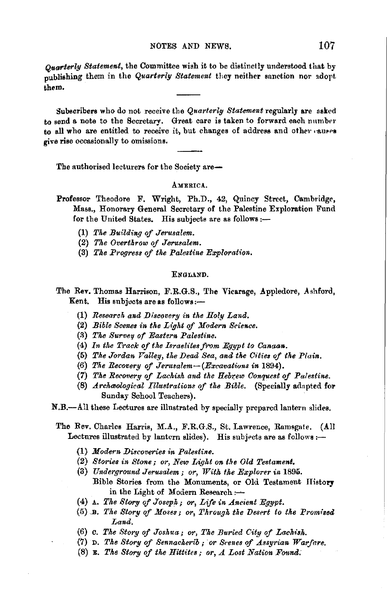Ouarterly Statement, the Committee wish it to be distinctly understood that by nublishing them in the Quarterly Statement they neither sanction nor adopt .<br>them.

Subscribers who do not receive the Quarterly Statement regularly are asked to send a note to the Secretary. Great care is taken to forward each number to all who are entitled to receive it, but changes of address and other causes give rise occasionally to omissions.

The authorised lecturers for the Society are-

#### AMERICA.

- Professor Theodore F. Wright, Ph.D., 42, Quincy Street, Cambridge, Mass., Honorary General Secretary of the Palestine Exploration Fund for the United States. His subjects are as follows :-
	- (1) The Building of Jerusalem.
	- (2) The Overthrow of Jerusalem.
	- (3) The Progress of the Palestine Exploration.

#### ENGLAND.

- The Rev. Thomas Harrison, F.R.G.S., The Vicarage, Appledore, Ashford, Kent. His subjects are as follows:-
	- (1) Research and Discovery in the Holy Land.
	- (2) Bible Scenes in the Light of Modern Science.
	- (3) The Survey of Eastern Palestine.
	- (4) In the Track of the Israelites from Equpt to Canaan.
	- (5) The Jordan Valley, the Dead Sea, and the Cities of the Plain.
	- (6) The Recovery of Jerusalem- $(Excavations in 1894)$ .
	- (7) The Recovery of Lachish and the Hebrew Conquest of Palestine.
	- (8) Archaeological Illustrations of the Bible. (Specially adapted for Sunday School Teachers).

N.B.-All these Lectures are illustrated by specially prepared lantern slides.

- The Rev. Charles Harris, M.A., F.R.G.S., St. Lawrence, Ramsgate. (All Lectures illustrated by lantern slides). His subjects are as follows :-
	- (1) Modern Discoveries in Palestine.
	- (2) Stories in Stone; or, New Light on the Old Testament.
	- (3) Underground Jerusalem; or, With the Explorer in 1895. Bible Stories from the Monuments, or Old Testament History in the Light of Modern Research :-
	- $(4)$   $\Lambda$ . The Story of Joseph; or, Life in Ancient Equpt.
	- (5) B. The Story of Moses; or, Through the Desert to the Promised Land.
	- (6) C. The Story of Joshua; or, The Buried City of Lachish.
	- (7) D. The Story of Sennacherib; or Scenes of Assyrian Warfare.
	- $(8)$  B. The Story of the Hittites; or,  $\Lambda$  Lost Nation Found.